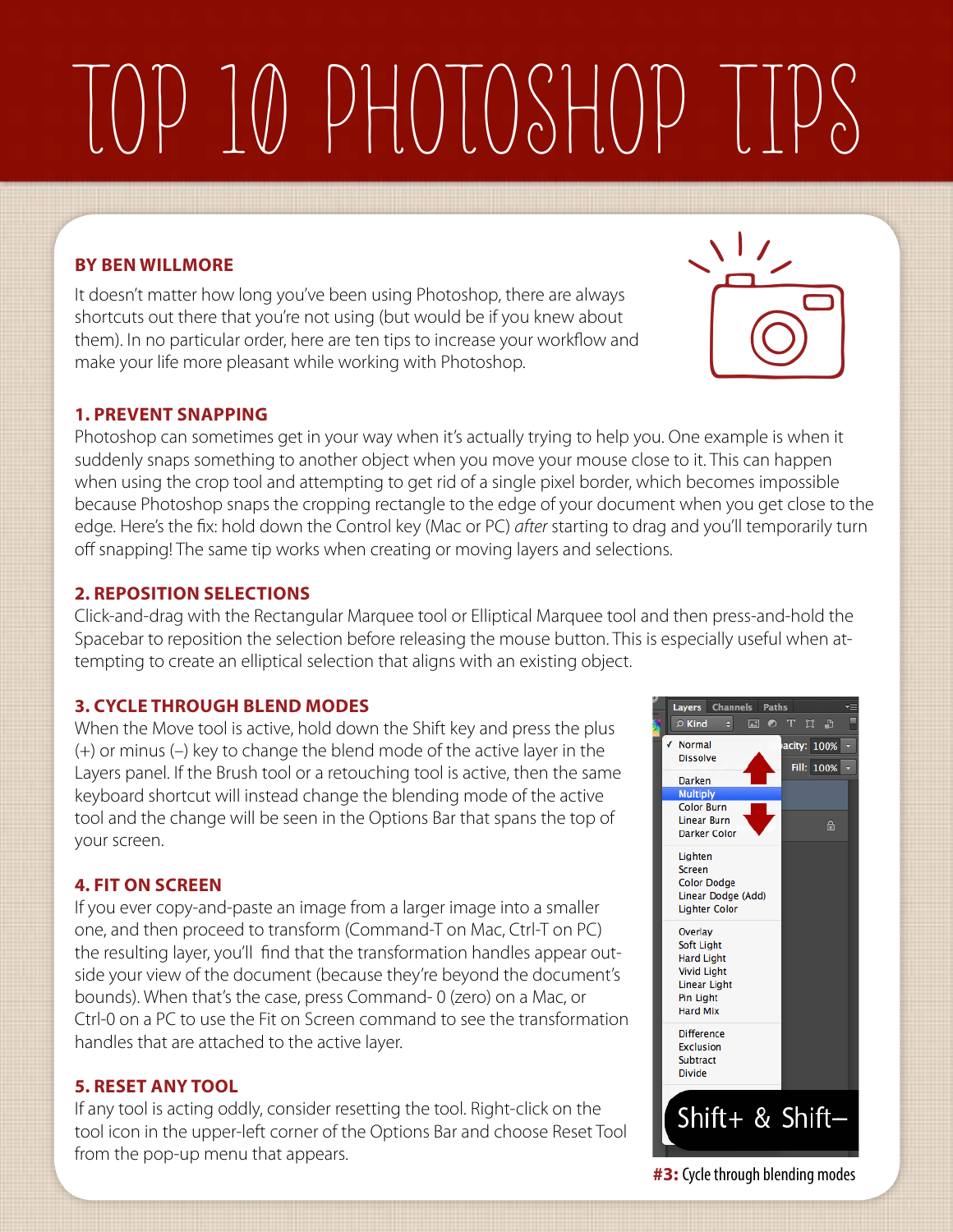# Top 10 Photoshop Tips

### **By Ben Willmore**

It doesn't matter how long you've been using Photoshop, there are always shortcuts out there that you're not using (but would be if you knew about them). In no particular order, here are ten tips to increase your workflow and make your life more pleasant while working with Photoshop.

### **1. Prevent snapping**

Photoshop can sometimes get in your way when it's actually trying to help you. One example is when it suddenly snaps something to another object when you move your mouse close to it. This can happen when using the crop tool and attempting to get rid of a single pixel border, which becomes impossible because Photoshop snaps the cropping rectangle to the edge of your document when you get close to the edge. Here's the fix: hold down the Control key (Mac or PC) *after* starting to drag and you'll temporarily turn off snapping! The same tip works when creating or moving layers and selections.

### **2. Reposition selections**

Click-and-drag with the Rectangular Marquee tool or Elliptical Marquee tool and then press-and-hold the Spacebar to reposition the selection before releasing the mouse button. This is especially useful when attempting to create an elliptical selection that aligns with an existing object.

### **3. Cycle through blend modes**

When the Move tool is active, hold down the Shift key and press the plus (+) or minus (–) key to change the blend mode of the active layer in the Layers panel. If the Brush tool or a retouching tool is active, then the same keyboard shortcut will instead change the blending mode of the active tool and the change will be seen in the Options Bar that spans the top of your screen.

### **4. Fit on Screen**

If you ever copy-and-paste an image from a larger image into a smaller one, and then proceed to transform (Command-T on Mac, Ctrl-T on PC) the resulting layer, you'll find that the transformation handles appear outside your view of the document (because they're beyond the document's bounds). When that's the case, press Command- 0 (zero) on a Mac, or Ctrl-0 on a PC to use the Fit on Screen command to see the transformation handles that are attached to the active layer.

### **5. Reset any tool**

If any tool is acting oddly, consider resetting the tool. Right-click on the tool icon in the upper-left corner of the Options Bar and choose Reset Tool from the pop-up menu that appears.



Layers Channels Paths

**#3:** Cycle through blending modes